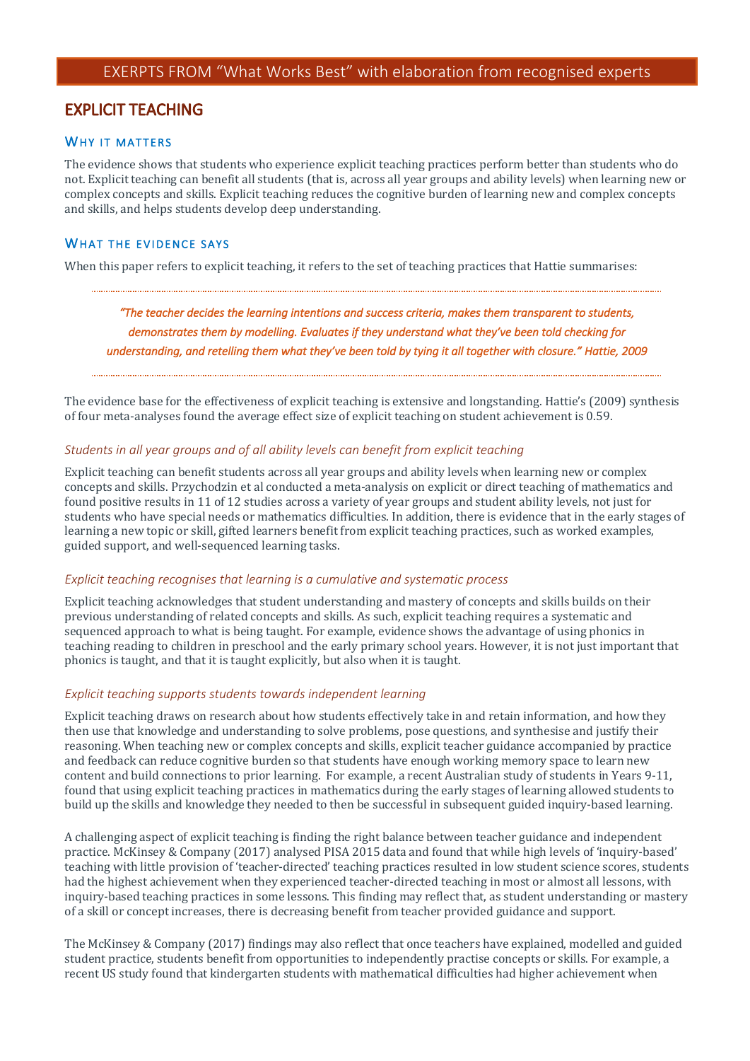# **EXPLICIT TEACHING**

## WHY IT MATTERS

The evidence shows that students who experience explicit teaching practices perform better than students who do not. Explicit teaching can benefit all students (that is, across all year groups and ability levels) when learning new or complex concepts and skills. Explicit teaching reduces the cognitive burden of learning new and complex concepts and skills, and helps students develop deep understanding.

## WHAT THE EVIDENCE SAYS

When this paper refers to explicit teaching, it refers to the set of teaching practices that Hattie summarises:

# *"The teacher decides the learning intentions and success criteria, makes them transparent to students, demonstrates them by modelling. Evaluates if they understand what they've been told checking for understanding, and retelling them what they've been told by tying it all together with closure." Hattie, 2009*

The evidence base for the effectiveness of explicit teaching is extensive and longstanding. Hattie's (2009) synthesis of four meta-analyses found the average effect size of explicit teaching on student achievement is 0.59.

## *Students in all year groups and of all ability levels can benefit from explicit teaching*

Explicit teaching can benefit students across all year groups and ability levels when learning new or complex concepts and skills. Przychodzin et al conducted a meta-analysis on explicit or direct teaching of mathematics and found positive results in 11 of 12 studies across a variety of year groups and student ability levels, not just for students who have special needs or mathematics difficulties. In addition, there is evidence that in the early stages of learning a new topic or skill, gifted learners benefit from explicit teaching practices, such as worked examples, guided support, and well-sequenced learning tasks.

## *Explicit teaching recognises that learning is a cumulative and systematic process*

Explicit teaching acknowledges that student understanding and mastery of concepts and skills builds on their previous understanding of related concepts and skills. As such, explicit teaching requires a systematic and sequenced approach to what is being taught. For example, evidence shows the advantage of using phonics in teaching reading to children in preschool and the early primary school years. However, it is not just important that phonics is taught, and that it is taught explicitly, but also when it is taught.

## *Explicit teaching supports students towards independent learning*

Explicit teaching draws on research about how students effectively take in and retain information, and how they then use that knowledge and understanding to solve problems, pose questions, and synthesise and justify their reasoning. When teaching new or complex concepts and skills, explicit teacher guidance accompanied by practice and feedback can reduce cognitive burden so that students have enough working memory space to learn new content and build connections to prior learning. For example, a recent Australian study of students in Years 9-11, found that using explicit teaching practices in mathematics during the early stages of learning allowed students to build up the skills and knowledge they needed to then be successful in subsequent guided inquiry-based learning.

A challenging aspect of explicit teaching is finding the right balance between teacher guidance and independent practice. McKinsey & Company (2017) analysed PISA 2015 data and found that while high levels of 'inquiry-based' teaching with little provision of 'teacher-directed' teaching practices resulted in low student science scores, students had the highest achievement when they experienced teacher-directed teaching in most or almost all lessons, with inquiry-based teaching practices in some lessons. This finding may reflect that, as student understanding or mastery of a skill or concept increases, there is decreasing benefit from teacher provided guidance and support.

The McKinsey & Company (2017) findings may also reflect that once teachers have explained, modelled and guided student practice, students benefit from opportunities to independently practise concepts or skills. For example, a recent US study found that kindergarten students with mathematical difficulties had higher achievement when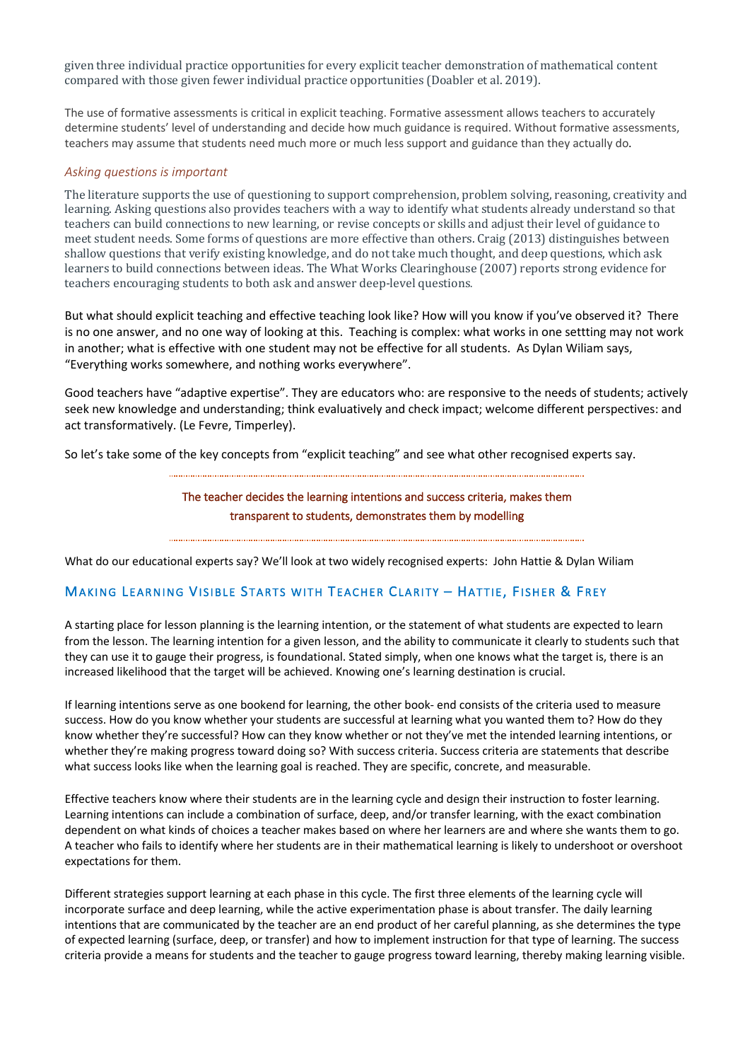given three individual practice opportunities for every explicit teacher demonstration of mathematical content compared with those given fewer individual practice opportunities (Doabler et al. 2019).

The use of formative assessments is critical in explicit teaching. Formative assessment allows teachers to accurately determine students' level of understanding and decide how much guidance is required. Without formative assessments, teachers may assume that students need much more or much less support and guidance than they actually do.

## *Asking questions is important*

The literature supports the use of questioning to support comprehension, problem solving, reasoning, creativity and learning. Asking questions also provides teachers with a way to identify what students already understand so that teachers can build connections to new learning, or revise concepts or skills and adjust their level of guidance to meet student needs. Some forms of questions are more effective than others. Craig (2013) distinguishes between shallow questions that verify existing knowledge, and do not take much thought, and deep questions, which ask learners to build connections between ideas. The What Works Clearinghouse (2007) reports strong evidence for teachers encouraging students to both ask and answer deep-level questions.

But what should explicit teaching and effective teaching look like? How will you know if you've observed it? There is no one answer, and no one way of looking at this. Teaching is complex: what works in one settting may not work in another; what is effective with one student may not be effective for all students. As Dylan Wiliam says, "Everything works somewhere, and nothing works everywhere".

Good teachers have "adaptive expertise". They are educators who: are responsive to the needs of students; actively seek new knowledge and understanding; think evaluatively and check impact; welcome different perspectives: and act transformatively. (Le Fevre, Timperley).

So let's take some of the key concepts from "explicit teaching" and see what other recognised experts say.

## The teacher decides the learning intentions and success criteria, makes them transparent to students, demonstrates them by modelling

What do our educational experts say? We'll look at two widely recognised experts: John Hattie & Dylan Wiliam

## MAKING LEARNING VISIBLE STARTS WITH TEACHER CLARITY - HATTIE, FISHER & FREY

A starting place for lesson planning is the learning intention, or the statement of what students are expected to learn from the lesson. The learning intention for a given lesson, and the ability to communicate it clearly to students such that they can use it to gauge their progress, is foundational. Stated simply, when one knows what the target is, there is an increased likelihood that the target will be achieved. Knowing one's learning destination is crucial.

If learning intentions serve as one bookend for learning, the other book- end consists of the criteria used to measure success. How do you know whether your students are successful at learning what you wanted them to? How do they know whether they're successful? How can they know whether or not they've met the intended learning intentions, or whether they're making progress toward doing so? With success criteria. Success criteria are statements that describe what success looks like when the learning goal is reached. They are specific, concrete, and measurable.

Effective teachers know where their students are in the learning cycle and design their instruction to foster learning. Learning intentions can include a combination of surface, deep, and/or transfer learning, with the exact combination dependent on what kinds of choices a teacher makes based on where her learners are and where she wants them to go. A teacher who fails to identify where her students are in their mathematical learning is likely to undershoot or overshoot expectations for them.

Different strategies support learning at each phase in this cycle. The first three elements of the learning cycle will incorporate surface and deep learning, while the active experimentation phase is about transfer. The daily learning intentions that are communicated by the teacher are an end product of her careful planning, as she determines the type of expected learning (surface, deep, or transfer) and how to implement instruction for that type of learning. The success criteria provide a means for students and the teacher to gauge progress toward learning, thereby making learning visible.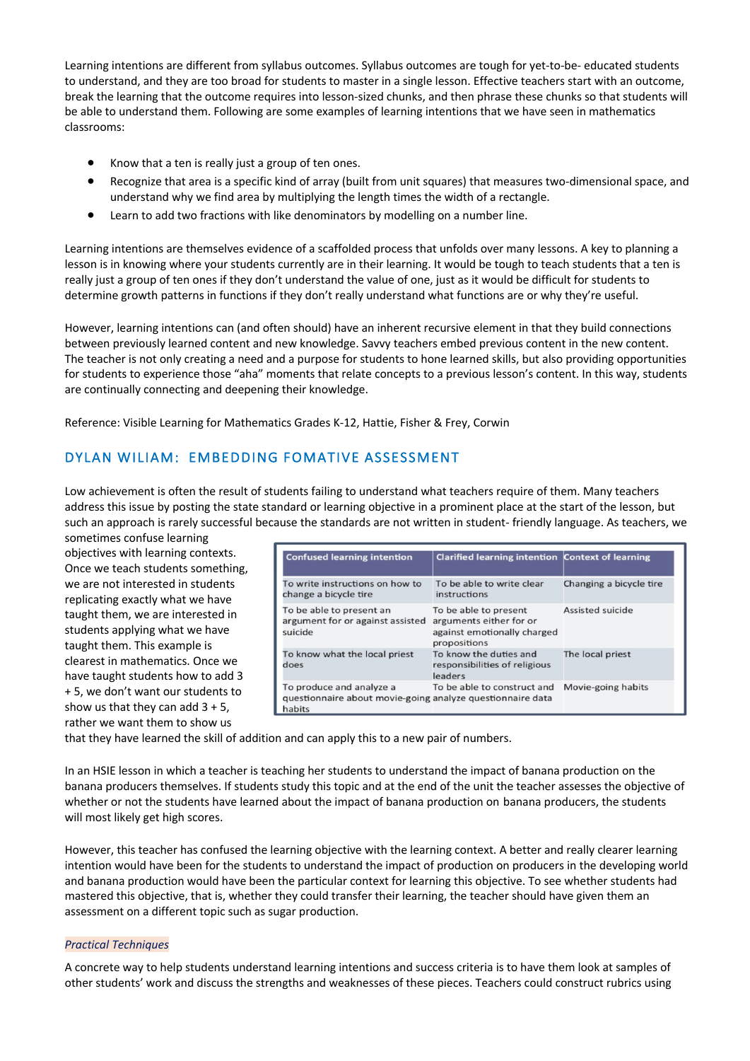Learning intentions are different from syllabus outcomes. Syllabus outcomes are tough for yet-to-be- educated students to understand, and they are too broad for students to master in a single lesson. Effective teachers start with an outcome, break the learning that the outcome requires into lesson-sized chunks, and then phrase these chunks so that students will be able to understand them. Following are some examples of learning intentions that we have seen in mathematics classrooms:

- Know that a ten is really just a group of ten ones.
- Recognize that area is a specific kind of array (built from unit squares) that measures two-dimensional space, and understand why we find area by multiplying the length times the width of a rectangle.
- Learn to add two fractions with like denominators by modelling on a number line.

Learning intentions are themselves evidence of a scaffolded process that unfolds over many lessons. A key to planning a lesson is in knowing where your students currently are in their learning. It would be tough to teach students that a ten is really just a group of ten ones if they don't understand the value of one, just as it would be difficult for students to determine growth patterns in functions if they don't really understand what functions are or why they're useful.

However, learning intentions can (and often should) have an inherent recursive element in that they build connections between previously learned content and new knowledge. Savvy teachers embed previous content in the new content. The teacher is not only creating a need and a purpose for students to hone learned skills, but also providing opportunities for students to experience those "aha" moments that relate concepts to a previous lesson's content. In this way, students are continually connecting and deepening their knowledge.

Reference: Visible Learning for Mathematics Grades K-12, Hattie, Fisher & Frey, Corwin

# DYLAN WILIAM: EMBEDDING FOMATIVE ASSESSMENT

Low achievement is often the result of students failing to understand what teachers require of them. Many teachers address this issue by posting the state standard or learning objective in a prominent place at the start of the lesson, but such an approach is rarely successful because the standards are not written in student- friendly language. As teachers, we

sometimes confuse learning objectives with learning contexts. Once we teach students something, we are not interested in students replicating exactly what we have taught them, we are interested in students applying what we have taught them. This example is clearest in mathematics. Once we have taught students how to add 3 + 5, we don't want our students to show us that they can add  $3 + 5$ , rather we want them to show us

| <b>Confused learning intention</b>                                                               | Clarified learning intention Context of learning                                                |                         |
|--------------------------------------------------------------------------------------------------|-------------------------------------------------------------------------------------------------|-------------------------|
| To write instructions on how to<br>change a bicycle tire                                         | To be able to write clear<br>instructions                                                       | Changing a bicycle tire |
| To be able to present an<br>argument for or against assisted<br>suicide                          | To be able to present<br>arguments either for or<br>against emotionally charged<br>propositions | <b>Assisted suicide</b> |
| To know what the local priest<br>does                                                            | To know the duties and<br>responsibilities of religious<br>leaders                              | The local priest        |
| To produce and analyze a<br>questionnaire about movie-going analyze questionnaire data<br>habits | To be able to construct and                                                                     | Movie-going habits      |

that they have learned the skill of addition and can apply this to a new pair of numbers.

In an HSIE lesson in which a teacher is teaching her students to understand the impact of banana production on the banana producers themselves. If students study this topic and at the end of the unit the teacher assesses the objective of whether or not the students have learned about the impact of banana production on banana producers, the students will most likely get high scores.

However, this teacher has confused the learning objective with the learning context. A better and really clearer learning intention would have been for the students to understand the impact of production on producers in the developing world and banana production would have been the particular context for learning this objective. To see whether students had mastered this objective, that is, whether they could transfer their learning, the teacher should have given them an assessment on a different topic such as sugar production.

## *Practical Techniques*

A concrete way to help students understand learning intentions and success criteria is to have them look at samples of other students' work and discuss the strengths and weaknesses of these pieces. Teachers could construct rubrics using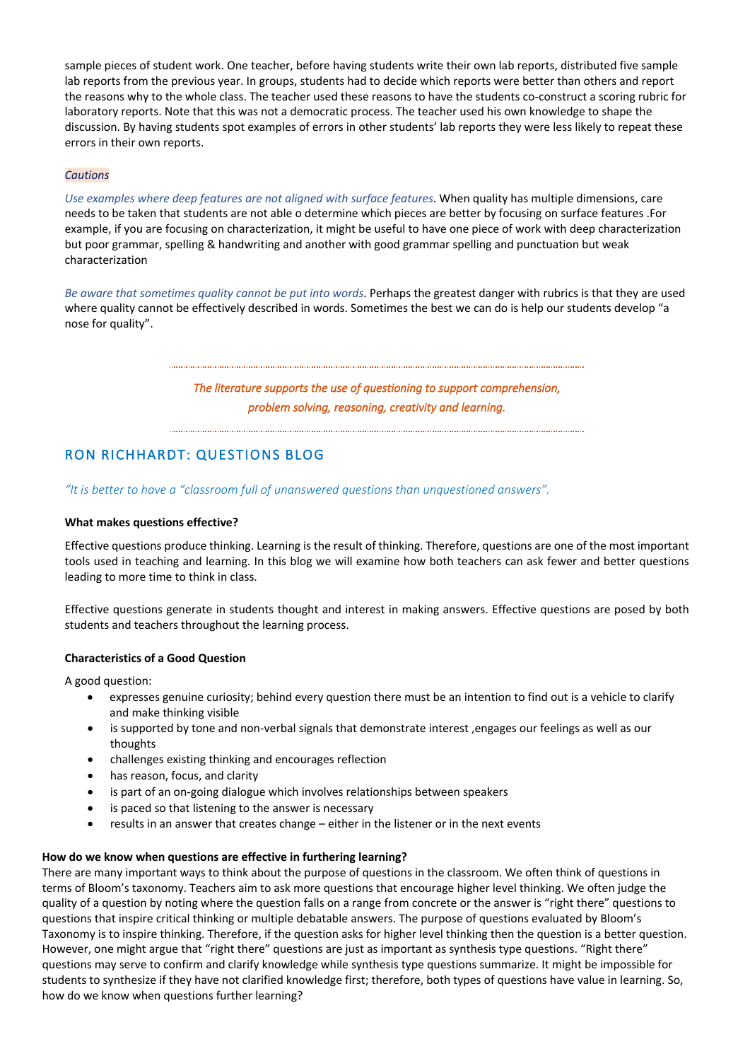sample pieces of student work. One teacher, before having students write their own lab reports, distributed five sample lab reports from the previous year. In groups, students had to decide which reports were better than others and report the reasons why to the whole class. The teacher used these reasons to have the students co-construct a scoring rubric for laboratory reports. Note that this was not a democratic process. The teacher used his own knowledge to shape the discussion. By having students spot examples of errors in other students' lab reports they were less likely to repeat these errors in their own reports.

#### *Cautions*

*Use examples where deep features are not aligned with surface features*. When quality has multiple dimensions, care needs to be taken that students are not able o determine which pieces are better by focusing on surface features .For example, if you are focusing on characterization, it might be useful to have one piece of work with deep characterization but poor grammar, spelling & handwriting and another with good grammar spelling and punctuation but weak characterization

*Be aware that sometimes quality cannot be put into words*. Perhaps the greatest danger with rubrics is that they are used where quality cannot be effectively described in words. Sometimes the best we can do is help our students develop "a nose for quality".

*The literature supports the use of questioning to support comprehension, problem solving, reasoning, creativity and learning.*

# RON RICHHARDT: QUESTIONS BLOG

*"It is better to have a "classroom full of unanswered questions than unquestioned answers".*

## **What makes questions effective?**

Effective questions produce thinking. Learning is the result of thinking. Therefore, questions are one of the most important tools used in teaching and learning. In this blog we will examine how both teachers can ask fewer and better questions leading to more time to think in class.

Effective questions generate in students thought and interest in making answers. Effective questions are posed by both students and teachers throughout the learning process.

## **Characteristics of a Good Question**

A good question:

- expresses genuine curiosity; behind every question there must be an intention to find out is a vehicle to clarify and make thinking visible
- is supported by tone and non-verbal signals that demonstrate interest ,engages our feelings as well as our thoughts
- challenges existing thinking and encourages reflection
- has reason, focus, and clarity
- is part of an on-going dialogue which involves relationships between speakers
- is paced so that listening to the answer is necessary
- results in an answer that creates change either in the listener or in the next events

## **How do we know when questions are effective in furthering learning?**

There are many important ways to think about the purpose of questions in the classroom. We often think of questions in terms of Bloom's taxonomy. Teachers aim to ask more questions that encourage higher level thinking. We often judge the quality of a question by noting where the question falls on a range from concrete or the answer is "right there" questions to questions that inspire critical thinking or multiple debatable answers. The purpose of questions evaluated by Bloom's Taxonomy is to inspire thinking. Therefore, if the question asks for higher level thinking then the question is a better question. However, one might argue that "right there" questions are just as important as synthesis type questions. "Right there" questions may serve to confirm and clarify knowledge while synthesis type questions summarize. It might be impossible for students to synthesize if they have not clarified knowledge first; therefore, both types of questions have value in learning. So, how do we know when questions further learning?